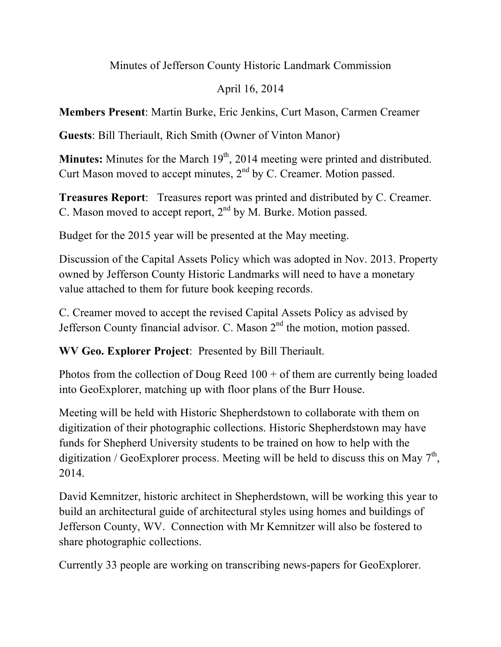Minutes of Jefferson County Historic Landmark Commission

## April 16, 2014

**Members Present**: Martin Burke, Eric Jenkins, Curt Mason, Carmen Creamer

**Guests**: Bill Theriault, Rich Smith (Owner of Vinton Manor)

**Minutes:** Minutes for the March 19<sup>th</sup>, 2014 meeting were printed and distributed. Curt Mason moved to accept minutes,  $2<sup>nd</sup>$  by C. Creamer. Motion passed.

**Treasures Report**: Treasures report was printed and distributed by C. Creamer. C. Mason moved to accept report,  $2<sup>nd</sup>$  by M. Burke. Motion passed.

Budget for the 2015 year will be presented at the May meeting.

Discussion of the Capital Assets Policy which was adopted in Nov. 2013. Property owned by Jefferson County Historic Landmarks will need to have a monetary value attached to them for future book keeping records.

C. Creamer moved to accept the revised Capital Assets Policy as advised by Jefferson County financial advisor. C. Mason  $2<sup>nd</sup>$  the motion, motion passed.

**WV Geo. Explorer Project**: Presented by Bill Theriault.

Photos from the collection of Doug Reed  $100 +$  of them are currently being loaded into GeoExplorer, matching up with floor plans of the Burr House.

Meeting will be held with Historic Shepherdstown to collaborate with them on digitization of their photographic collections. Historic Shepherdstown may have funds for Shepherd University students to be trained on how to help with the digitization / GeoExplorer process. Meeting will be held to discuss this on May  $7<sup>th</sup>$ , 2014.

David Kemnitzer, historic architect in Shepherdstown, will be working this year to build an architectural guide of architectural styles using homes and buildings of Jefferson County, WV. Connection with Mr Kemnitzer will also be fostered to share photographic collections.

Currently 33 people are working on transcribing news-papers for GeoExplorer.